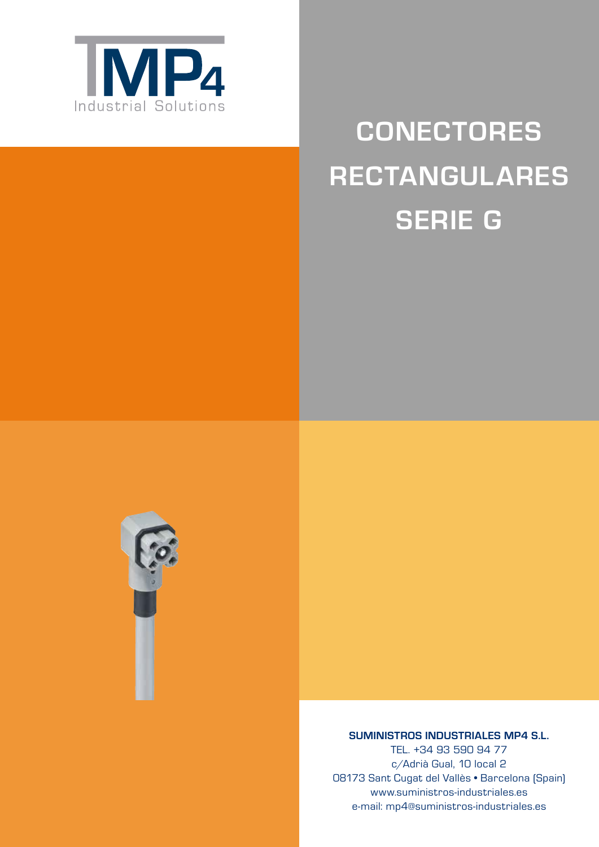

# **Conectores Rectangulares Serie G**



**SUMINISTROS INDUSTRIALES MP4 S.L.**

TEL. +34 93 590 94 77 c/Adrià Gual, 10 local 2 08173 Sant Cugat del Vallès • Barcelona (Spain) www.suministros-industriales.es e-mail: mp4@suministros-industriales.es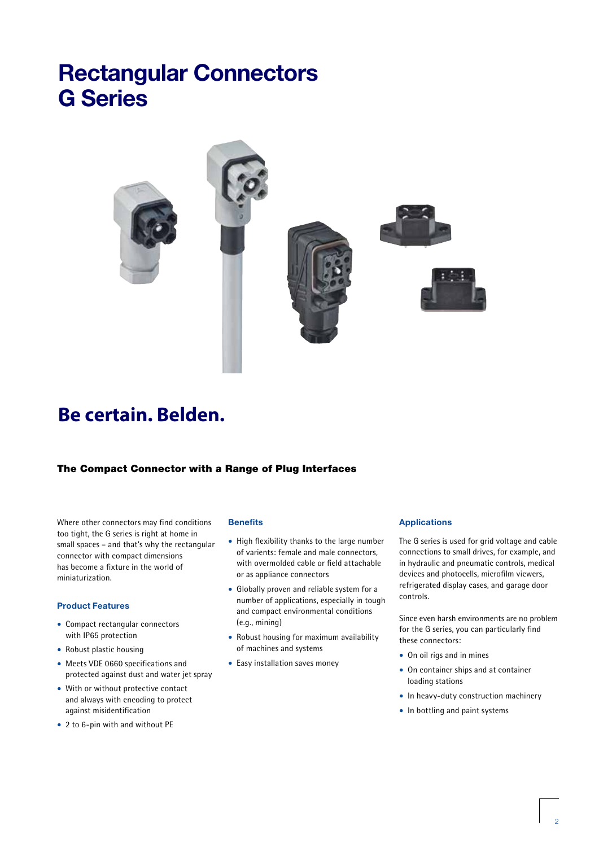

# **Be certain. Belden.**

#### The Compact Connector with a Range of Plug Interfaces

Where other connectors may find conditions too tight, the G series is right at home in small spaces – and that's why the rectangular connector with compact dimensions has become a fixture in the world of miniaturization.

#### **Product Features**

- Compact rectangular connectors with IP65 protection
- Robust plastic housing
- Meets VDE 0660 specifications and protected against dust and water jet spray
- With or without protective contact and always with encoding to protect against misidentification
- 2 to 6-pin with and without PE

#### **Benefits**

- High flexibility thanks to the large number of varients: female and male connectors, with overmolded cable or field attachable or as appliance connectors
- Globally proven and reliable system for a number of applications, especially in tough and compact environmental conditions (e.g., mining)
- Robust housing for maximum availability of machines and systems
- Easy installation saves money

#### **Applications**

The G series is used for grid voltage and cable connections to small drives, for example, and in hydraulic and pneumatic controls, medical devices and photocells, microfilm viewers, refrigerated display cases, and garage door controls.

Since even harsh environments are no problem for the G series, you can particularly find these connectors:

- On oil rigs and in mines
- On container ships and at container loading stations
- In heavy-duty construction machinery
- In bottling and paint systems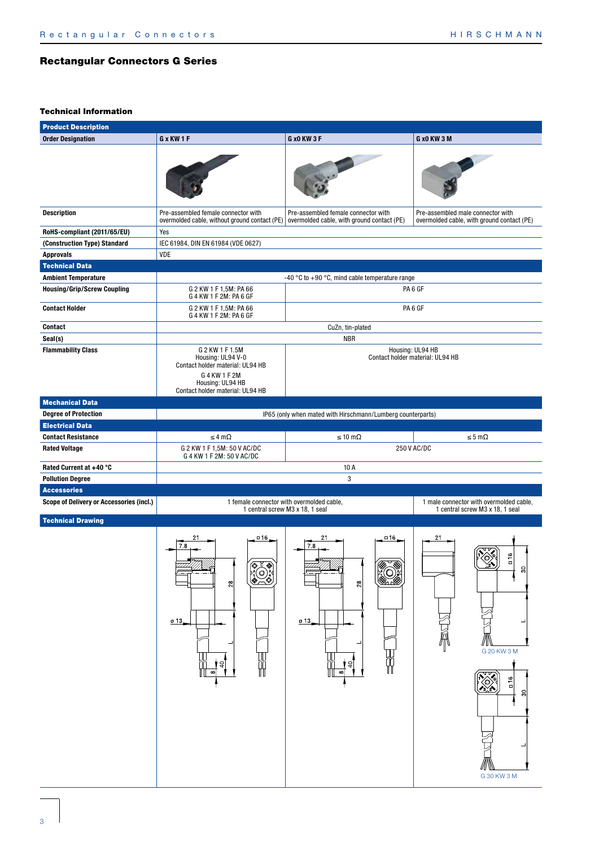| <b>Product Description</b>               |                                                                                                                                                   |                                                                                               |                                                                                    |  |
|------------------------------------------|---------------------------------------------------------------------------------------------------------------------------------------------------|-----------------------------------------------------------------------------------------------|------------------------------------------------------------------------------------|--|
| <b>Order Designation</b>                 | G x KW 1 F                                                                                                                                        | <b>G x0 KW 3 F</b>                                                                            | G x0 KW 3 M                                                                        |  |
|                                          |                                                                                                                                                   |                                                                                               |                                                                                    |  |
| <b>Description</b>                       | Pre-assembled female connector with<br>overmolded cable, without ground contact (PE)                                                              | Pre-assembled female connector with<br>overmolded cable, with ground contact (PE)             | Pre-assembled male connector with<br>overmolded cable, with ground contact (PE)    |  |
| RoHS-compliant (2011/65/EU)              | Yes                                                                                                                                               |                                                                                               |                                                                                    |  |
| (Construction Type) Standard             | IEC 61984, DIN EN 61984 (VDE 0627)                                                                                                                |                                                                                               |                                                                                    |  |
| <b>Approvals</b>                         | VDE                                                                                                                                               |                                                                                               |                                                                                    |  |
| <b>Technical Data</b>                    |                                                                                                                                                   |                                                                                               |                                                                                    |  |
| <b>Ambient Temperature</b>               |                                                                                                                                                   | -40 °C to +90 °C, mind cable temperature range                                                |                                                                                    |  |
| <b>Housing/Grip/Screw Coupling</b>       | G 2 KW 1 F 1,5M: PA 66<br>G 4 KW 1 F 2M: PA 6 GF                                                                                                  | PA <sub>6</sub> GF                                                                            |                                                                                    |  |
| <b>Contact Holder</b>                    | G 2 KW 1 F 1,5M: PA 66<br>G 4 KW 1 F 2M: PA 6 GF                                                                                                  | PA <sub>6</sub> GF                                                                            |                                                                                    |  |
| <b>Contact</b>                           |                                                                                                                                                   | CuZn, tin-plated                                                                              |                                                                                    |  |
| Seal(s)                                  |                                                                                                                                                   | <b>NBR</b>                                                                                    |                                                                                    |  |
| <b>Flammability Class</b>                | G 2 KW 1 F 1.5M<br>Housing: UL94 V-0<br>Contact holder material: UL94 HB<br>G 4 KW 1 F 2M<br>Housing: UL94 HB<br>Contact holder material: UL94 HB | Housing: UL94 HB<br>Contact holder material: UL94 HB                                          |                                                                                    |  |
| <b>Mechanical Data</b>                   |                                                                                                                                                   |                                                                                               |                                                                                    |  |
| <b>Degree of Protection</b>              |                                                                                                                                                   | IP65 (only when mated with Hirschmann/Lumberg counterparts)                                   |                                                                                    |  |
| <b>Electrical Data</b>                   |                                                                                                                                                   |                                                                                               |                                                                                    |  |
| <b>Contact Resistance</b>                | $\leq 4 \text{ m}\Omega$                                                                                                                          | $\leq 10 \text{ m}\Omega$                                                                     | $\leq$ 5 m $\Omega$                                                                |  |
| <b>Rated Voltage</b>                     | G 2 KW 1 F 1,5M: 50 V AC/DC<br>G 4 KW 1 F 2M: 50 V AC/DC                                                                                          | 250 V AC/DC                                                                                   |                                                                                    |  |
| Rated Current at +40 °C                  |                                                                                                                                                   | 10 A                                                                                          |                                                                                    |  |
| <b>Pollution Degree</b>                  |                                                                                                                                                   | 3                                                                                             |                                                                                    |  |
| <b>Accessories</b>                       |                                                                                                                                                   |                                                                                               |                                                                                    |  |
| Scope of Delivery or Accessories (incl.) | 1 female connector with overmolded cable,<br>1 central screw M3 x 18, 1 seal                                                                      |                                                                                               | 1 male connector with overmolded cable,<br>1 central screw M3 x 18, 1 seal         |  |
| <b>Technical Drawing</b>                 | $\Box$ 16<br>7.8<br>(ঔ<br>◈<br>$\bigotimes_{i=1}^{n}$<br>웨<br>013<br>40<br>Ŵ<br>$\infty$                                                          | $\Box$ 16<br>21<br>7.8<br>▩<br>❀<br>VOI 1<br>28<br>$\sigma$ 13.<br>$\overline{5}$<br>$\infty$ | 21<br>ڡ<br>n<br>ನ<br>G 20 KW 3 M<br>$\sqrt{\frac{1}{3}}$<br>16<br>$\boldsymbol{S}$ |  |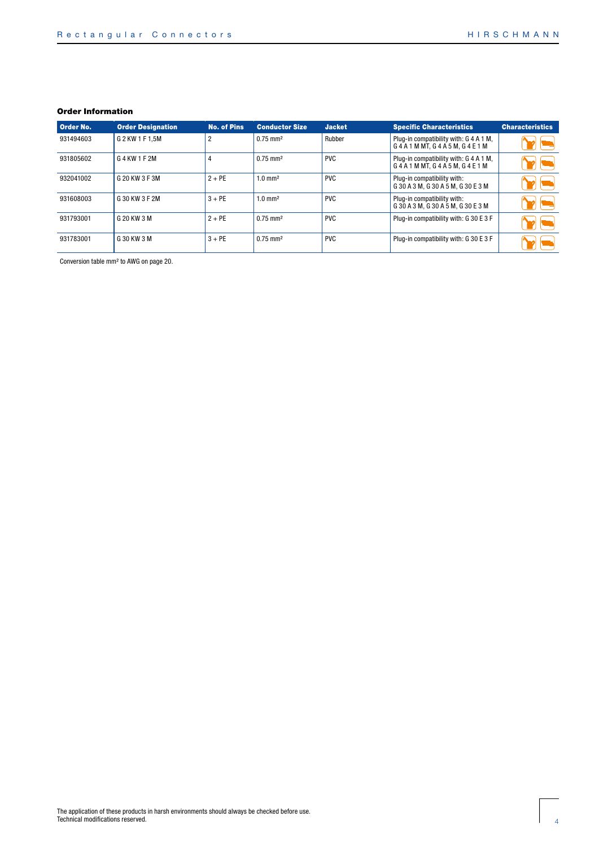| <b>Order No.</b> | <b>Order Designation</b> | No. of Pins    | <b>Conductor Size</b>  | <b>Jacket</b> | <b>Specific Characteristics</b>                                   | <b>Characteristics</b> |
|------------------|--------------------------|----------------|------------------------|---------------|-------------------------------------------------------------------|------------------------|
| 931494603        | G 2 KW 1 F 1.5M          | $\overline{2}$ | $0.75$ mm <sup>2</sup> | Rubber        | Plug-in compatibility with: G 4 A 1 M,<br>G4A1MMT. G4A5M. G4E1M   |                        |
| 931805602        | G 4 KW 1 F 2M            |                | $0.75$ mm <sup>2</sup> | <b>PVC</b>    | Plug-in compatibility with: G 4 A 1 M,<br>G4A1MMT, G4A5M, G4E1M   |                        |
| 932041002        | G 20 KW 3 F 3M           | $2 + PE$       | $1.0$ mm <sup>2</sup>  | <b>PVC</b>    | Plug-in compatibility with:<br>G 30 A 3 M, G 30 A 5 M, G 30 E 3 M |                        |
| 931608003        | G 30 KW 3 F 2M           | $3 + PE$       | $1.0$ mm <sup>2</sup>  | <b>PVC</b>    | Plug-in compatibility with:<br>G 30 A 3 M, G 30 A 5 M, G 30 E 3 M |                        |
| 931793001        | G 20 KW 3 M              | $2 + PE$       | $0.75$ mm <sup>2</sup> | <b>PVC</b>    | Plug-in compatibility with: G 30 E 3 F                            |                        |
| 931783001        | G 30 KW 3 M              | $3 + PE$       | $0.75$ mm <sup>2</sup> | <b>PVC</b>    | Plug-in compatibility with: G 30 E 3 F                            |                        |

Conversion table mm² to AWG on page 20.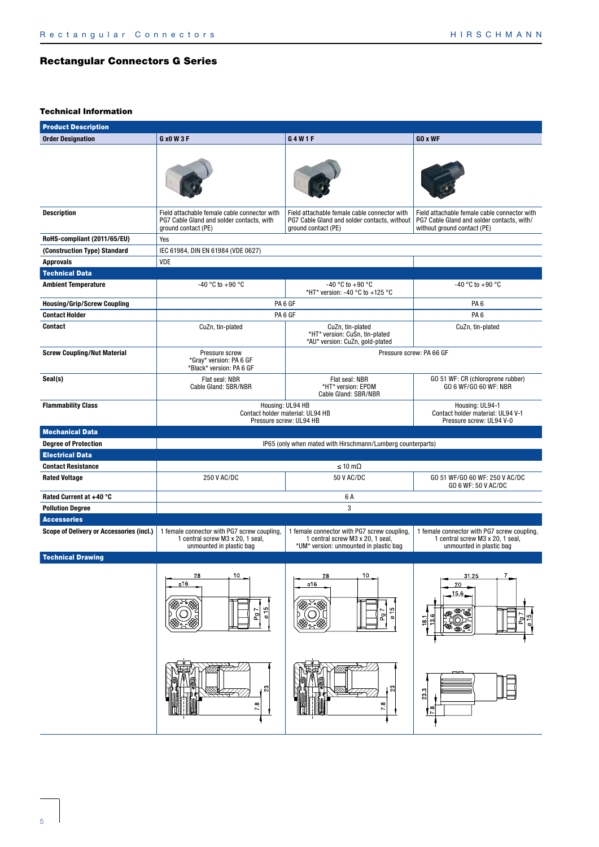| <b>Product Description</b>               |                                                                                                                  |                                                                                                                           |                                                                                                                           |  |
|------------------------------------------|------------------------------------------------------------------------------------------------------------------|---------------------------------------------------------------------------------------------------------------------------|---------------------------------------------------------------------------------------------------------------------------|--|
| <b>Order Designation</b>                 | G x0 W 3 F                                                                                                       | G4W1F                                                                                                                     | GO x WF                                                                                                                   |  |
|                                          |                                                                                                                  |                                                                                                                           |                                                                                                                           |  |
| <b>Description</b>                       | Field attachable female cable connector with<br>PG7 Cable Gland and solder contacts, with<br>ground contact (PE) | Field attachable female cable connector with<br>PG7 Cable Gland and solder contacts, without<br>ground contact (PE)       | Field attachable female cable connector with<br>PG7 Cable Gland and solder contacts, with/<br>without ground contact (PE) |  |
| RoHS-compliant (2011/65/EU)              | Yes                                                                                                              |                                                                                                                           |                                                                                                                           |  |
| (Construction Type) Standard             | IEC 61984, DIN EN 61984 (VDE 0627)                                                                               |                                                                                                                           |                                                                                                                           |  |
| <b>Approvals</b>                         | <b>VDE</b>                                                                                                       |                                                                                                                           |                                                                                                                           |  |
| <b>Technical Data</b>                    |                                                                                                                  |                                                                                                                           |                                                                                                                           |  |
| <b>Ambient Temperature</b>               | -40 °C to +90 °C                                                                                                 | -40 °C to +90 °C<br>*HT* version: -40 °C to +125 °C                                                                       | -40 °C to +90 °C                                                                                                          |  |
| <b>Housing/Grip/Screw Coupling</b>       |                                                                                                                  | PA <sub>6</sub> GF                                                                                                        | PA <sub>6</sub>                                                                                                           |  |
| <b>Contact Holder</b>                    |                                                                                                                  | PA <sub>6</sub> GF                                                                                                        | PA <sub>6</sub>                                                                                                           |  |
| Contact                                  | CuZn, tin-plated                                                                                                 | CuZn, tin-plated<br>*HT* version: CuSn, tin-plated<br>*AU* version: CuZn, gold-plated                                     | CuZn, tin-plated                                                                                                          |  |
| <b>Screw Coupling/Nut Material</b>       | Pressure screw<br>*Gray* version: PA 6 GF<br>*Black* version: PA 6 GF                                            | Pressure screw: PA 66 GF                                                                                                  |                                                                                                                           |  |
| Seal(s)                                  | Flat seal: NBR<br>Cable Gland: SBR/NBR                                                                           | Flat seal: NBR<br>*HT* version: EPDM<br>Cable Gland: SBR/NBR                                                              | GO 51 WF: CR (chloroprene rubber)<br>GO 6 WF/GO 60 WF: NBR                                                                |  |
| <b>Flammability Class</b>                | Housing: UL94 HB<br>Contact holder material: UL94 HB<br>Pressure screw: UL94 HB                                  | Housing: UL94-1<br>Contact holder material: UL94 V-1<br>Pressure screw: UL94 V-0                                          |                                                                                                                           |  |
| <b>Mechanical Data</b>                   |                                                                                                                  |                                                                                                                           |                                                                                                                           |  |
| <b>Degree of Protection</b>              |                                                                                                                  | IP65 (only when mated with Hirschmann/Lumberg counterparts)                                                               |                                                                                                                           |  |
| <b>Electrical Data</b>                   |                                                                                                                  |                                                                                                                           |                                                                                                                           |  |
| <b>Contact Resistance</b>                |                                                                                                                  | $\leq 10 \text{ m}\Omega$                                                                                                 |                                                                                                                           |  |
| <b>Rated Voltage</b>                     | 250 V AC/DC                                                                                                      | 50 V AC/DC                                                                                                                | GO 51 WF/GO 60 WF: 250 V AC/DC<br>GO 6 WF: 50 V AC/DC                                                                     |  |
| Rated Current at +40 °C                  |                                                                                                                  | 6 A                                                                                                                       |                                                                                                                           |  |
| <b>Pollution Degree</b>                  |                                                                                                                  | 3                                                                                                                         |                                                                                                                           |  |
| <b>Accessories</b>                       |                                                                                                                  |                                                                                                                           |                                                                                                                           |  |
| Scope of Delivery or Accessories (incl.) | 1 female connector with PG7 screw coupling,<br>1 central screw M3 x 20, 1 seal,<br>unmounted in plastic bag      | 1 female connector with PG7 screw coupling,<br>1 central screw M3 x 20, 1 seal,<br>*UM* version: unmounted in plastic bag | 1 female connector with PG7 screw coupling,<br>1 central screw M3 x 20, 1 seal,<br>unmounted in plastic bag               |  |
| <b>Technical Drawing</b>                 |                                                                                                                  |                                                                                                                           |                                                                                                                           |  |
|                                          | 10<br>28<br>n16<br>$\frac{0}{15}$<br>Pg7                                                                         | 10<br>28<br>□16<br>$\overline{0}$ 15<br>r<br>P                                                                            | $^7$<br>31.25<br>20<br>15.6<br><b>BUDE</b><br>$\frac{15}{9}$<br>13.6<br>$\overline{P}$<br>18.1                            |  |
|                                          | $\mathbb{S}^3$<br>7.8                                                                                            | 23<br>œ<br>ŕ.                                                                                                             | ന∣<br>$\mathbb{S}^2$<br>$\frac{18}{2}$                                                                                    |  |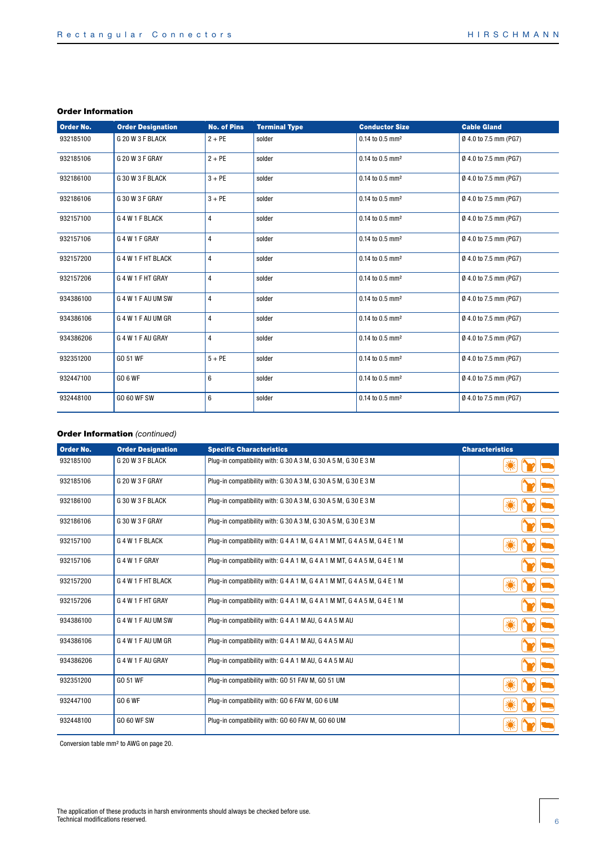| Order No. | <b>Order Designation</b> | <b>No. of Pins</b> | <b>Terminal Type</b> | <b>Conductor Size</b>       | <b>Cable Gland</b>    |
|-----------|--------------------------|--------------------|----------------------|-----------------------------|-----------------------|
| 932185100 | G 20 W 3 F BLACK         | $2 + PE$           | solder               | 0.14 to 0.5 mm <sup>2</sup> | Ø 4.0 to 7.5 mm (PG7) |
| 932185106 | G 20 W 3 F GRAY          | $2 + PE$           | solder               | 0.14 to 0.5 mm <sup>2</sup> | Ø 4.0 to 7.5 mm (PG7) |
| 932186100 | G 30 W 3 F BLACK         | $3 + PE$           | solder               | 0.14 to 0.5 mm <sup>2</sup> | Ø 4.0 to 7.5 mm (PG7) |
| 932186106 | G 30 W 3 F GRAY          | $3 + PE$           | solder               | 0.14 to 0.5 mm <sup>2</sup> | Ø 4.0 to 7.5 mm (PG7) |
| 932157100 | G 4 W 1 F BLACK          | $\overline{4}$     | solder               | 0.14 to 0.5 mm <sup>2</sup> | Ø 4.0 to 7.5 mm (PG7) |
| 932157106 | G 4 W 1 F GRAY           | $\overline{4}$     | solder               | 0.14 to 0.5 mm <sup>2</sup> | Ø 4.0 to 7.5 mm (PG7) |
| 932157200 | G 4 W 1 F HT BLACK       | $\overline{4}$     | solder               | 0.14 to 0.5 mm <sup>2</sup> | Ø 4.0 to 7.5 mm (PG7) |
| 932157206 | G 4 W 1 F HT GRAY        | $\overline{4}$     | solder               | 0.14 to 0.5 mm <sup>2</sup> | Ø 4.0 to 7.5 mm (PG7) |
| 934386100 | G 4 W 1 F AU UM SW       | $\overline{4}$     | solder               | 0.14 to 0.5 mm <sup>2</sup> | Ø 4.0 to 7.5 mm (PG7) |
| 934386106 | G 4 W 1 F AU UM GR       | $\overline{4}$     | solder               | 0.14 to 0.5 mm <sup>2</sup> | Ø 4.0 to 7.5 mm (PG7) |
| 934386206 | G 4 W 1 F AU GRAY        | $\overline{4}$     | solder               | 0.14 to 0.5 mm <sup>2</sup> | Ø 4.0 to 7.5 mm (PG7) |
| 932351200 | GO 51 WF                 | $5 + PE$           | solder               | 0.14 to 0.5 mm <sup>2</sup> | Ø 4.0 to 7.5 mm (PG7) |
| 932447100 | <b>GO 6 WF</b>           | 6                  | solder               | 0.14 to 0.5 mm <sup>2</sup> | Ø 4.0 to 7.5 mm (PG7) |
| 932448100 | <b>GO 60 WF SW</b>       | $6\phantom{1}$     | solder               | 0.14 to 0.5 mm <sup>2</sup> | Ø 4.0 to 7.5 mm (PG7) |

#### Order Information *(continued)*

| Order No. | <b>Order Designation</b> | <b>Specific Characteristics</b>                                           | <b>Characteristics</b> |
|-----------|--------------------------|---------------------------------------------------------------------------|------------------------|
| 932185100 | G 20 W 3 F BLACK         | Plug-in compatibility with: G 30 A 3 M, G 30 A 5 M, G 30 E 3 M            | ☀                      |
| 932185106 | G 20 W 3 F GRAY          | Plug-in compatibility with: G 30 A 3 M, G 30 A 5 M, G 30 E 3 M            |                        |
| 932186100 | G 30 W 3 F BLACK         | Plug-in compatibility with: G 30 A 3 M, G 30 A 5 M, G 30 E 3 M            | 澲                      |
| 932186106 | G 30 W 3 F GRAY          | Plug-in compatibility with: G 30 A 3 M, G 30 A 5 M, G 30 E 3 M            |                        |
| 932157100 | G 4 W 1 F BLACK          | Plug-in compatibility with: G 4 A 1 M, G 4 A 1 M MT, G 4 A 5 M, G 4 E 1 M | ☀                      |
| 932157106 | G 4 W 1 F GRAY           | Plug-in compatibility with: G 4 A 1 M, G 4 A 1 M MT, G 4 A 5 M, G 4 E 1 M |                        |
| 932157200 | G 4 W 1 F HT BLACK       | Plug-in compatibility with: G 4 A 1 M, G 4 A 1 M MT, G 4 A 5 M, G 4 E 1 M | 濼                      |
| 932157206 | G 4 W 1 F HT GRAY        | Plug-in compatibility with: G 4 A 1 M, G 4 A 1 M MT, G 4 A 5 M, G 4 E 1 M |                        |
| 934386100 | G 4 W 1 F AU UM SW       | Plug-in compatibility with: G 4 A 1 M AU, G 4 A 5 M AU                    | ☀                      |
| 934386106 | G 4 W 1 F AU UM GR       | Plug-in compatibility with: G 4 A 1 M AU, G 4 A 5 M AU                    |                        |
| 934386206 | G 4 W 1 F AU GRAY        | Plug-in compatibility with: G 4 A 1 M AU, G 4 A 5 M AU                    |                        |
| 932351200 | GO 51 WF                 | Plug-in compatibility with: GO 51 FAV M, GO 51 UM                         | 濼                      |
| 932447100 | <b>GO 6 WF</b>           | Plug-in compatibility with: GO 6 FAV M, GO 6 UM                           | 澲                      |
| 932448100 | <b>GO 60 WF SW</b>       | Plug-in compatibility with: GO 60 FAV M, GO 60 UM                         | ☀                      |

Conversion table mm² to AWG on page 20.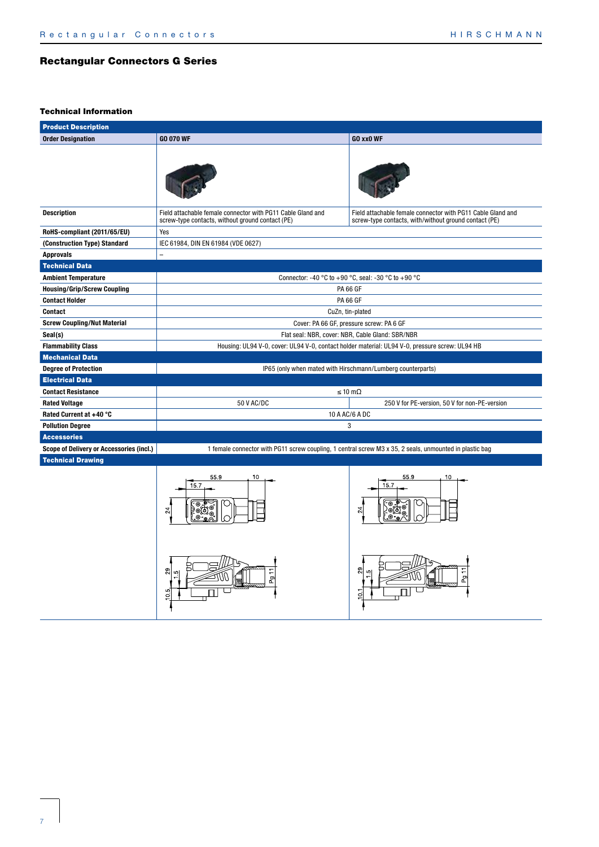$rac{5}{1}$ 

| <b>Product Description</b>               |                                                                                                                 |                                                                                                                      |  |  |  |  |
|------------------------------------------|-----------------------------------------------------------------------------------------------------------------|----------------------------------------------------------------------------------------------------------------------|--|--|--|--|
| <b>Order Designation</b>                 | <b>GO 070 WF</b>                                                                                                | GO xx0 WF                                                                                                            |  |  |  |  |
|                                          |                                                                                                                 |                                                                                                                      |  |  |  |  |
| <b>Description</b>                       | Field attachable female connector with PG11 Cable Gland and<br>screw-type contacts, without ground contact (PE) | Field attachable female connector with PG11 Cable Gland and<br>screw-type contacts, with/without ground contact (PE) |  |  |  |  |
| RoHS-compliant (2011/65/EU)              | Yes                                                                                                             |                                                                                                                      |  |  |  |  |
| (Construction Type) Standard             | IEC 61984, DIN EN 61984 (VDE 0627)                                                                              |                                                                                                                      |  |  |  |  |
| <b>Approvals</b>                         |                                                                                                                 |                                                                                                                      |  |  |  |  |
| <b>Technical Data</b>                    |                                                                                                                 |                                                                                                                      |  |  |  |  |
| <b>Ambient Temperature</b>               |                                                                                                                 | Connector: -40 °C to +90 °C, seal: -30 °C to +90 °C                                                                  |  |  |  |  |
| <b>Housing/Grip/Screw Coupling</b>       |                                                                                                                 | <b>PA 66 GF</b>                                                                                                      |  |  |  |  |
| <b>Contact Holder</b>                    |                                                                                                                 | <b>PA 66 GF</b>                                                                                                      |  |  |  |  |
| Contact                                  |                                                                                                                 | CuZn, tin-plated                                                                                                     |  |  |  |  |
| <b>Screw Coupling/Nut Material</b>       | Cover: PA 66 GF, pressure screw: PA 6 GF                                                                        |                                                                                                                      |  |  |  |  |
| Seal(s)                                  | Flat seal: NBR, cover: NBR, Cable Gland: SBR/NBR                                                                |                                                                                                                      |  |  |  |  |
| <b>Flammability Class</b>                | Housing: UL94 V-0, cover: UL94 V-0, contact holder material: UL94 V-0, pressure screw: UL94 HB                  |                                                                                                                      |  |  |  |  |
| <b>Mechanical Data</b>                   |                                                                                                                 |                                                                                                                      |  |  |  |  |
| <b>Degree of Protection</b>              |                                                                                                                 | IP65 (only when mated with Hirschmann/Lumberg counterparts)                                                          |  |  |  |  |
| <b>Electrical Data</b>                   |                                                                                                                 |                                                                                                                      |  |  |  |  |
| <b>Contact Resistance</b>                |                                                                                                                 | $\leq 10 \text{ m}\Omega$                                                                                            |  |  |  |  |
| <b>Rated Voltage</b>                     | 50 V AC/DC                                                                                                      | 250 V for PE-version, 50 V for non-PE-version                                                                        |  |  |  |  |
| Rated Current at +40 °C                  |                                                                                                                 | 10 A AC/6 A DC                                                                                                       |  |  |  |  |
| <b>Pollution Degree</b>                  |                                                                                                                 | 3                                                                                                                    |  |  |  |  |
| <b>Accessories</b>                       |                                                                                                                 |                                                                                                                      |  |  |  |  |
| Scope of Delivery or Accessories (incl.) |                                                                                                                 | 1 female connector with PG11 screw coupling, 1 central screw M3 x 35, 2 seals, unmounted in plastic bag              |  |  |  |  |
| <b>Technical Drawing</b>                 |                                                                                                                 |                                                                                                                      |  |  |  |  |
|                                          | 10<br>55.9<br>15.7<br>$^{24}$                                                                                   | 55.9<br>10<br>15.7<br>24                                                                                             |  |  |  |  |
|                                          | 29<br>Pg <sub>11</sub><br>5<br>o                                                                                | 29<br>Pg<br>₫                                                                                                        |  |  |  |  |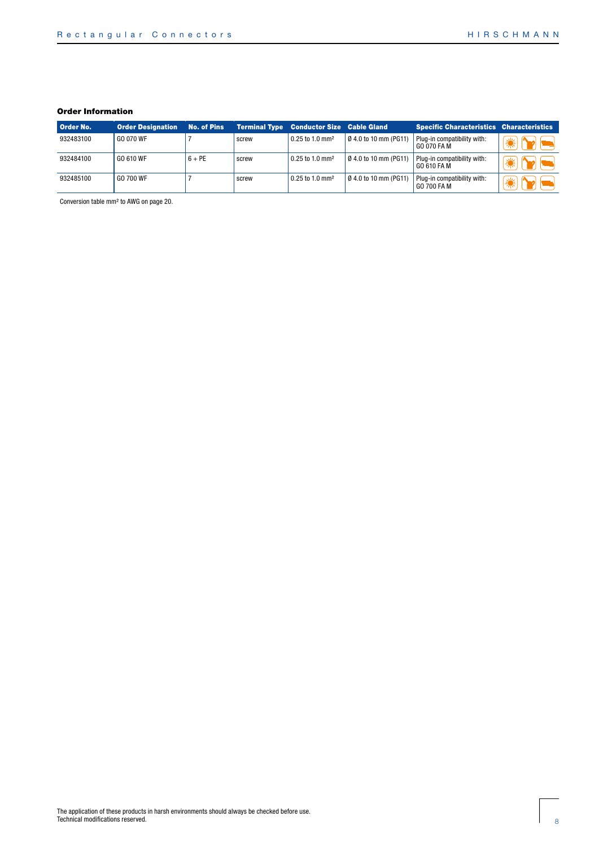| Order No. | <b>Order Designation</b> | <b>No. of Pins</b> |       | <b>Terminal Type Conductor Size Cable Gland</b> |                             | <b>Specific Characteristics Characteristics</b> |       |
|-----------|--------------------------|--------------------|-------|-------------------------------------------------|-----------------------------|-------------------------------------------------|-------|
| 932483100 | GO 070 WF                |                    | screw | 0.25 to 1.0 mm <sup>2</sup>                     | $\beta$ 4.0 to 10 mm (PG11) | Plug-in compatibility with:<br>GO 070 FA M      |       |
| 932484100 | GO 610 WF                | $6 + PE$           | screw | $0.25$ to 1.0 mm <sup>2</sup>                   | $\beta$ 4.0 to 10 mm (PG11) | Plug-in compatibility with:<br>GO 610 FA M      |       |
| 932485100 | GO 700 WF                |                    | screw | $0.25$ to 1.0 mm <sup>2</sup>                   | 0 4.0 to 10 mm (PG11)       | Plug-in compatibility with:<br>GO 700 FA M      | " √ ∜ |

Conversion table mm² to AWG on page 20.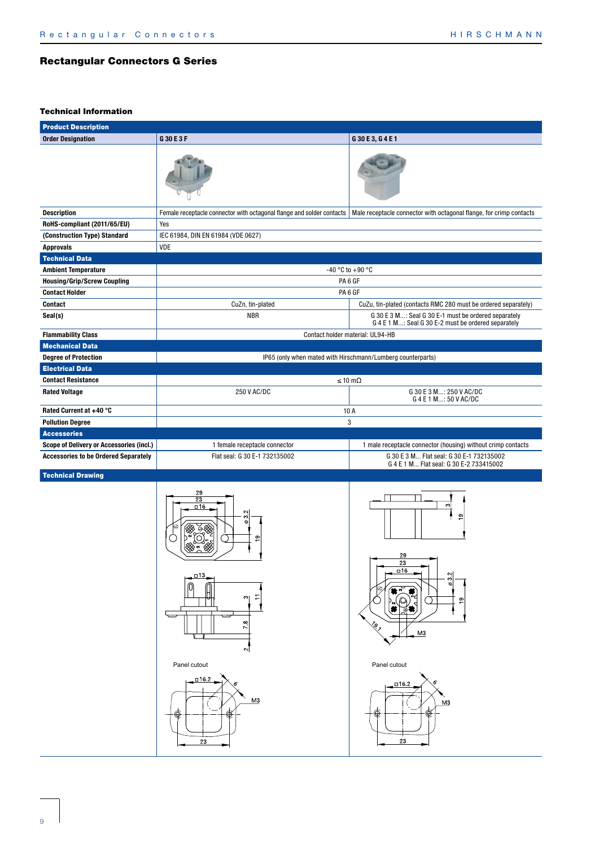| <b>Product Description</b>                  |                                                                                         |                                                                                              |
|---------------------------------------------|-----------------------------------------------------------------------------------------|----------------------------------------------------------------------------------------------|
| <b>Order Designation</b>                    | G30E3F                                                                                  | G 30 E 3, G 4 E 1                                                                            |
|                                             |                                                                                         |                                                                                              |
| <b>Description</b>                          | Female receptacle connector with octagonal flange and solder contacts                   | Male receptacle connector with octagonal flange, for crimp contacts                          |
| RoHS-compliant (2011/65/EU)                 | Yes                                                                                     |                                                                                              |
| (Construction Type) Standard                | IEC 61984, DIN EN 61984 (VDE 0627)                                                      |                                                                                              |
| <b>Approvals</b>                            | VDE                                                                                     |                                                                                              |
| <b>Technical Data</b>                       |                                                                                         |                                                                                              |
| <b>Ambient Temperature</b>                  |                                                                                         | -40 °C to +90 °C                                                                             |
| <b>Housing/Grip/Screw Coupling</b>          |                                                                                         | PA <sub>6</sub> GF                                                                           |
| <b>Contact Holder</b>                       |                                                                                         | PA <sub>6</sub> GF                                                                           |
| Contact                                     | CuZn, tin-plated                                                                        | CuZu, tin-plated (contacts RMC 280 must be ordered separately)                               |
| Seal(s)                                     | <b>NBR</b>                                                                              | G 30 E 3 M: Seal G 30 E-1 must be ordered separately                                         |
|                                             |                                                                                         | G 4 E 1 M: Seal G 30 E-2 must be ordered separately                                          |
| <b>Flammability Class</b>                   |                                                                                         | Contact holder material: UL94-HB                                                             |
| <b>Mechanical Data</b>                      |                                                                                         |                                                                                              |
| <b>Degree of Protection</b>                 |                                                                                         | IP65 (only when mated with Hirschmann/Lumberg counterparts)                                  |
| <b>Electrical Data</b>                      |                                                                                         |                                                                                              |
| <b>Contact Resistance</b>                   |                                                                                         | $\leq 10 \text{ m}\Omega$                                                                    |
| <b>Rated Voltage</b>                        | 250 V AC/DC                                                                             | G 30 E 3 M: 250 V AC/DC<br>G 4 E 1 M: 50 V AC/DC                                             |
| Rated Current at +40 °C                     |                                                                                         | 10 A                                                                                         |
| <b>Pollution Degree</b>                     |                                                                                         | 3                                                                                            |
| <b>Accessories</b>                          |                                                                                         |                                                                                              |
| Scope of Delivery or Accessories (incl.)    | 1 female receptacle connector                                                           | 1 male receptacle connector (housing) without crimp contacts                                 |
| <b>Accessories to be Ordered Separately</b> | Flat seal: G 30 E-1 732135002                                                           | G 30 E 3 M Flat seal: G 30 E-1 732135002<br>G 4 E 1 M Flat seal: G 30 E-2 733415002          |
| <b>Technical Drawing</b>                    |                                                                                         |                                                                                              |
|                                             | 29<br>23<br>$\Box$ 16<br>Ņ١<br>ო<br>ø<br>ൗ<br>- 1<br>$-13$<br>$\infty$<br>œ<br>Z.<br>∾∣ | ო<br>$\overline{9}$<br>29<br>23<br><u>¤16</u><br>$\frac{22}{2}$<br>თ<br>⊗,<br>M <sub>3</sub> |
|                                             | Panel cutout<br>$-16.2$<br><u>М3</u>                                                    | Panel cutout<br>16.2∍<br>M <sub>3</sub>                                                      |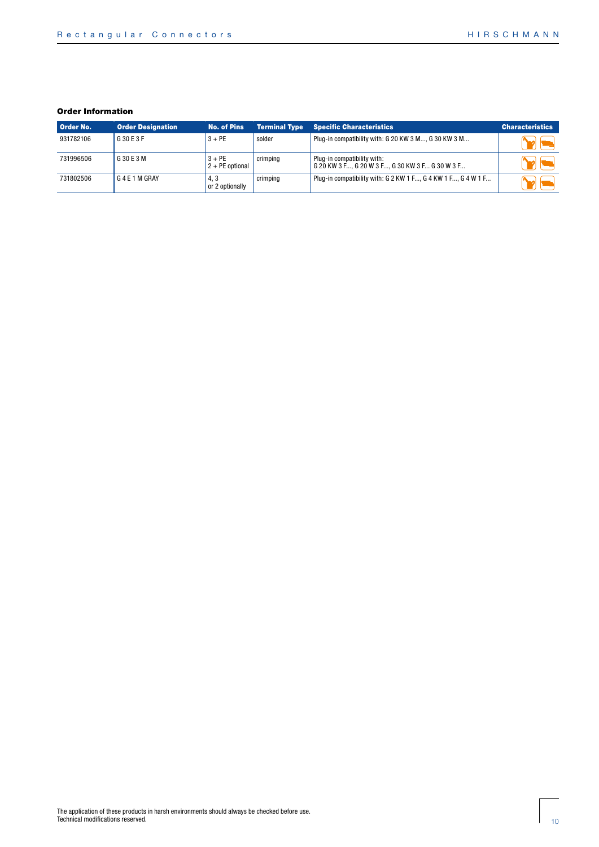| Order No. | <b>Order Designation</b> | <b>No. of Pins</b>            | <b>Terminal Type</b> | <b>Specific Characteristics</b>                                                | <b>Characteristics</b> |
|-----------|--------------------------|-------------------------------|----------------------|--------------------------------------------------------------------------------|------------------------|
| 931782106 | G 30 E 3 F               | $3 + PE$                      | solder               | Plug-in compatibility with: G 20 KW 3 M, G 30 KW 3 M                           |                        |
| 731996506 | G 30 E 3 M               | $3 + PE$<br>$2 + PE$ optional | crimping             | Plug-in compatibility with:<br>G 20 KW 3 F, G 20 W 3 F, G 30 KW 3 F G 30 W 3 F |                        |
| 731802506 | G 4 E 1 M GRAY           | 4.3<br>or 2 optionally        | crimping             | Plug-in compatibility with: G 2 KW 1 F, G 4 KW 1 F, G 4 W 1 F                  |                        |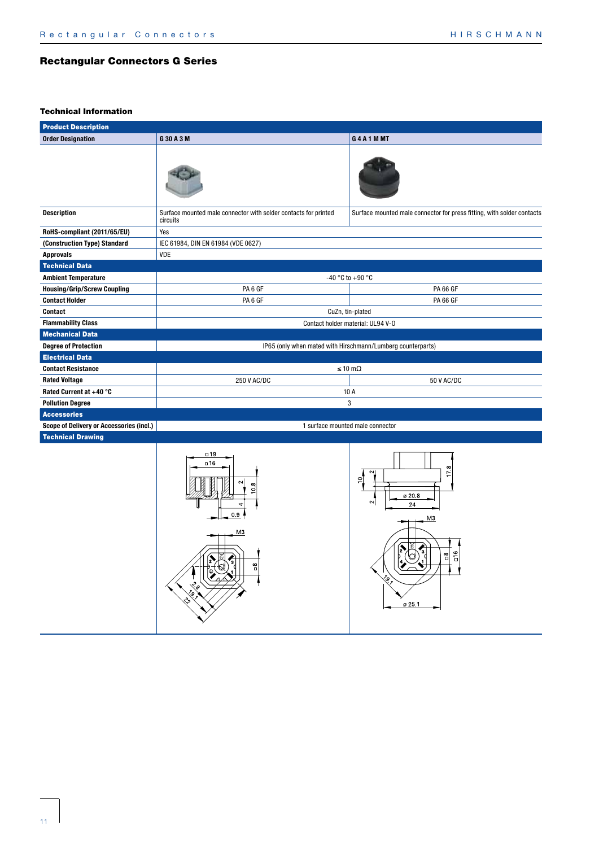$\overline{=}$  $\overline{a}$ 

ø 25.1

# Rectangular Connectors G Series

| <b>Product Description</b>               |                                                                             |                                                                                       |  |
|------------------------------------------|-----------------------------------------------------------------------------|---------------------------------------------------------------------------------------|--|
| <b>Order Designation</b>                 | G 30 A 3 M                                                                  | G4A1MMT                                                                               |  |
|                                          |                                                                             |                                                                                       |  |
| <b>Description</b>                       | Surface mounted male connector with solder contacts for printed<br>circuits | Surface mounted male connector for press fitting, with solder contacts                |  |
| RoHS-compliant (2011/65/EU)              | Yes                                                                         |                                                                                       |  |
| (Construction Type) Standard             | IEC 61984, DIN EN 61984 (VDE 0627)                                          |                                                                                       |  |
| <b>Approvals</b>                         | VDE                                                                         |                                                                                       |  |
| <b>Technical Data</b>                    |                                                                             |                                                                                       |  |
| <b>Ambient Temperature</b>               |                                                                             | -40 °C to +90 °C                                                                      |  |
| <b>Housing/Grip/Screw Coupling</b>       | PA <sub>6</sub> GF                                                          | <b>PA 66 GF</b>                                                                       |  |
| <b>Contact Holder</b>                    | PA <sub>6</sub> GF                                                          | <b>PA 66 GF</b>                                                                       |  |
| <b>Contact</b>                           |                                                                             | CuZn, tin-plated                                                                      |  |
| <b>Flammability Class</b>                |                                                                             | Contact holder material: UL94 V-0                                                     |  |
| <b>Mechanical Data</b>                   |                                                                             |                                                                                       |  |
| <b>Degree of Protection</b>              |                                                                             | IP65 (only when mated with Hirschmann/Lumberg counterparts)                           |  |
| <b>Electrical Data</b>                   |                                                                             |                                                                                       |  |
| <b>Contact Resistance</b>                |                                                                             | $\leq 10 \text{ m}\Omega$                                                             |  |
| <b>Rated Voltage</b>                     | 250 V AC/DC                                                                 | 50 V AC/DC                                                                            |  |
| Rated Current at +40 °C                  |                                                                             | 10 A                                                                                  |  |
| <b>Pollution Degree</b>                  |                                                                             | 3                                                                                     |  |
| <b>Accessories</b>                       |                                                                             |                                                                                       |  |
| Scope of Delivery or Accessories (incl.) |                                                                             | 1 surface mounted male connector                                                      |  |
| <b>Technical Drawing</b>                 |                                                                             |                                                                                       |  |
|                                          | $\Box$ 19<br>$\Box$ 16<br>$^{\circ}$<br>$\circ$<br>0.9<br>M <sub>3</sub>    | œ<br>$\sim$<br>$\overline{1}$<br><u>۽</u><br>ø 20 8<br>$\sim$<br>24<br>M <sub>3</sub> |  |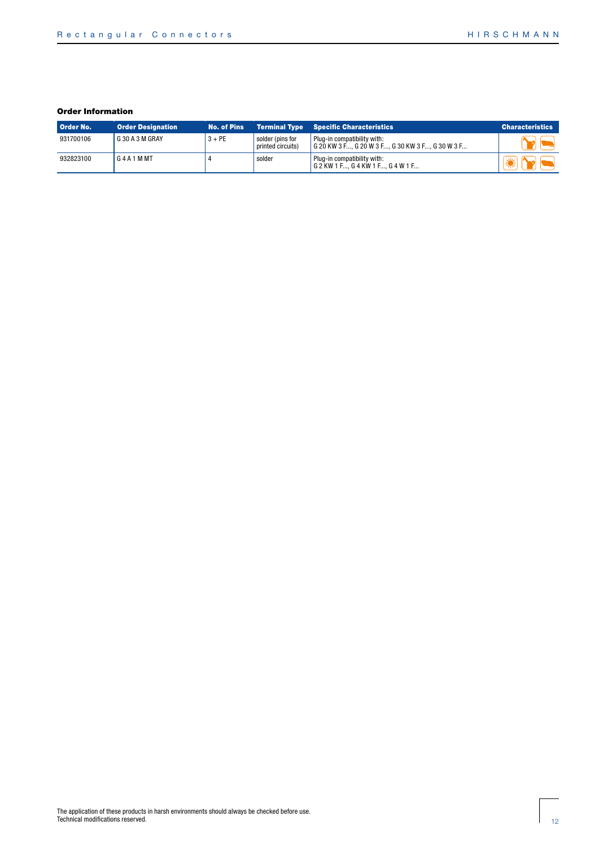| Order No. | <b>Order Designation</b> | <b>No. of Pins</b> |                                       | <b>Terminal Type Specific Characteristics</b>                                   | <b>Characteristics</b> |
|-----------|--------------------------|--------------------|---------------------------------------|---------------------------------------------------------------------------------|------------------------|
| 931700106 | G 30 A 3 M GRAY          | $3 + PE$           | solder (pins for<br>printed circuits) | Plug-in compatibility with:<br>G 20 KW 3 F, G 20 W 3 F, G 30 KW 3 F, G 30 W 3 F |                        |
| 932823100 | G4A1MMT                  |                    | solder                                | Plug-in compatibility with:<br>  G 2 KW 1 F G 4 KW 1 F G 4 W 1 F                |                        |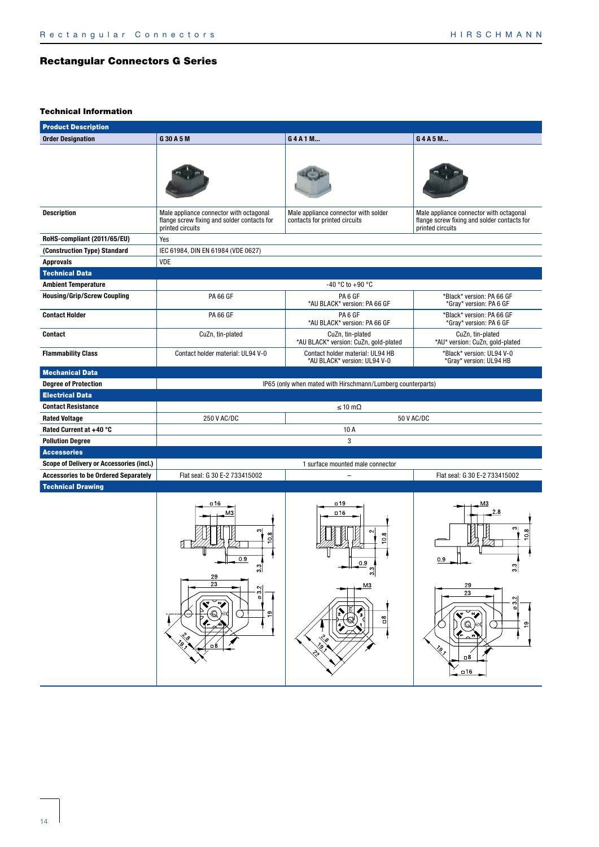| <b>Product Description</b>                                            |                                                                                                                                     |                                                                                                                                                                                             |                                                                                                                                                        |
|-----------------------------------------------------------------------|-------------------------------------------------------------------------------------------------------------------------------------|---------------------------------------------------------------------------------------------------------------------------------------------------------------------------------------------|--------------------------------------------------------------------------------------------------------------------------------------------------------|
| <b>Order Designation</b>                                              | G 30 A 5 M                                                                                                                          | G4A1M                                                                                                                                                                                       | G4A5M                                                                                                                                                  |
|                                                                       |                                                                                                                                     |                                                                                                                                                                                             |                                                                                                                                                        |
| <b>Description</b>                                                    | Male appliance connector with octagonal<br>flange screw fixing and solder contacts for<br>printed circuits                          | Male appliance connector with solder<br>contacts for printed circuits                                                                                                                       | Male appliance connector with octagonal<br>flange screw fixing and solder contacts for<br>printed circuits                                             |
| RoHS-compliant (2011/65/EU)                                           | Yes                                                                                                                                 |                                                                                                                                                                                             |                                                                                                                                                        |
| (Construction Type) Standard                                          | IEC 61984, DIN EN 61984 (VDE 0627)                                                                                                  |                                                                                                                                                                                             |                                                                                                                                                        |
| <b>Approvals</b>                                                      | VDE                                                                                                                                 |                                                                                                                                                                                             |                                                                                                                                                        |
| <b>Technical Data</b>                                                 |                                                                                                                                     |                                                                                                                                                                                             |                                                                                                                                                        |
| <b>Ambient Temperature</b>                                            |                                                                                                                                     | -40 °C to +90 °C                                                                                                                                                                            |                                                                                                                                                        |
| <b>Housing/Grip/Screw Coupling</b>                                    | <b>PA 66 GF</b>                                                                                                                     | PA <sub>6</sub> GF<br>*AU BLACK* version: PA 66 GF                                                                                                                                          | *Black* version: PA 66 GF<br>*Gray* version: PA 6 GF                                                                                                   |
| <b>Contact Holder</b>                                                 | <b>PA 66 GF</b>                                                                                                                     | PA <sub>6</sub> GF<br>*AU BLACK* version: PA 66 GF                                                                                                                                          | *Black* version: PA 66 GF<br>*Gray* version: PA 6 GF                                                                                                   |
| Contact                                                               | CuZn, tin-plated                                                                                                                    | CuZn, tin-plated<br>*AU BLACK* version: CuZn, gold-plated                                                                                                                                   | CuZn, tin-plated<br>*AU* version: CuZn, gold-plated                                                                                                    |
| <b>Flammability Class</b>                                             | Contact holder material: UL94 V-0                                                                                                   | Contact holder material: UL94 HB<br>*AU BLACK* version: UL94 V-0                                                                                                                            | *Black* version: UL94 V-0<br>*Gray* version: UL94 HB                                                                                                   |
| <b>Mechanical Data</b>                                                |                                                                                                                                     |                                                                                                                                                                                             |                                                                                                                                                        |
| <b>Degree of Protection</b>                                           |                                                                                                                                     | IP65 (only when mated with Hirschmann/Lumberg counterparts)                                                                                                                                 |                                                                                                                                                        |
| <b>Electrical Data</b>                                                |                                                                                                                                     |                                                                                                                                                                                             |                                                                                                                                                        |
| <b>Contact Resistance</b>                                             |                                                                                                                                     | $\leq 10 \text{ m}\Omega$                                                                                                                                                                   |                                                                                                                                                        |
| <b>Rated Voltage</b>                                                  | 250 V AC/DC                                                                                                                         |                                                                                                                                                                                             | 50 V AC/DC                                                                                                                                             |
| Rated Current at +40 °C                                               |                                                                                                                                     | 10 A                                                                                                                                                                                        |                                                                                                                                                        |
| <b>Pollution Degree</b>                                               |                                                                                                                                     | 3                                                                                                                                                                                           |                                                                                                                                                        |
| <b>Accessories</b><br><b>Scope of Delivery or Accessories (incl.)</b> |                                                                                                                                     | 1 surface mounted male connector                                                                                                                                                            |                                                                                                                                                        |
| <b>Accessories to be Ordered Separately</b>                           | Flat seal: G 30 E-2 733415002                                                                                                       | $\equiv$                                                                                                                                                                                    | Flat seal: G 30 E-2 733415002                                                                                                                          |
| <b>Technical Drawing</b>                                              |                                                                                                                                     |                                                                                                                                                                                             |                                                                                                                                                        |
|                                                                       | □16<br>MЗ<br>က <br>0.8<br>0.9<br>ω<br>וניט<br>29<br>23<br>$\sim$<br>ო<br>$\circ$<br>۰,<br>$\mathbb{Q}$<br>٩P<br>:ა<br>6<br>$\Box$ 8 | $\Box$ 19<br>□16<br>$\sim$<br>$\infty$<br>$\circ$<br>0.9<br>ო<br>ကု<br>M <sup>3</sup><br>$\sum_{i=1}^{n}$<br>ъ,<br>$_{\square}^{\text{8}}$<br>€<br><sup>ر</sup> م<br><b>Egy</b><br>¿<br>్తి | MЗ<br>2.8<br>ကျ<br>$\infty$<br>o<br>0.9<br>ო<br>29<br>23<br>$\sim$<br>$\overline{0}$<br>₩<br>V4<br>$\mathbb{Q}$<br>ഉ<br>ç,<br>$\Box$ 8<br>$\square$ 16 |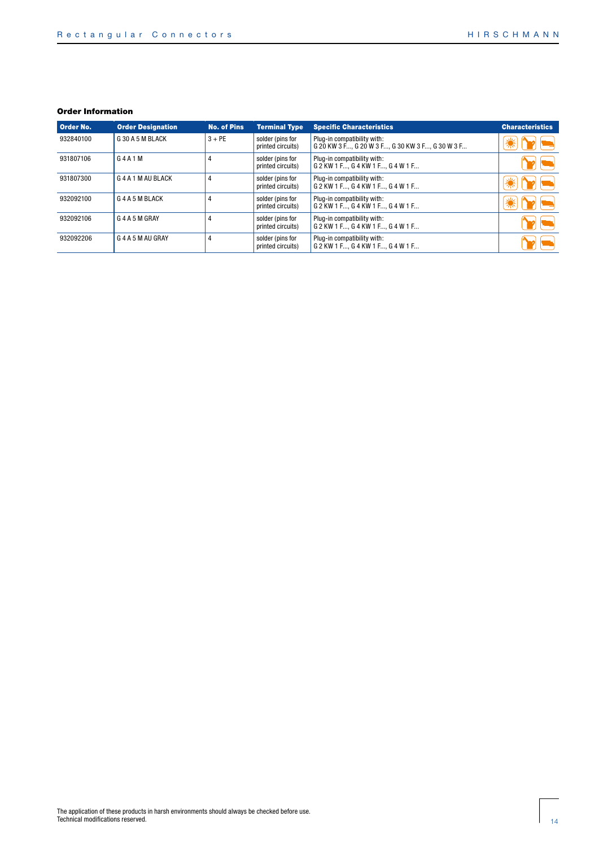| <b>Order No.</b> | <b>Order Designation</b> | <b>No. of Pins</b> | <b>Terminal Type</b>                  | <b>Specific Characteristics</b>                                                 | <b>Characteristics</b> |
|------------------|--------------------------|--------------------|---------------------------------------|---------------------------------------------------------------------------------|------------------------|
| 932840100        | G 30 A 5 M BLACK         | $3 + PE$           | solder (pins for<br>printed circuits) | Plug-in compatibility with:<br>G 20 KW 3 F, G 20 W 3 F, G 30 KW 3 F, G 30 W 3 F |                        |
| 931807106        | G4A1M                    | 4                  | solder (pins for<br>printed circuits) | Plug-in compatibility with:<br>G 2 KW 1 F G 4 KW 1 F G 4 W 1 F                  |                        |
| 931807300        | G4A1MAUBLACK             | 4                  | solder (pins for<br>printed circuits) | Plug-in compatibility with:<br>G 2 KW 1 F G 4 KW 1 F G 4 W 1 F                  |                        |
| 932092100        | G 4 A 5 M BLACK          | 4                  | solder (pins for<br>printed circuits) | Plug-in compatibility with:<br>G 2 KW 1 F G 4 KW 1 F G 4 W 1 F                  |                        |
| 932092106        | G 4 A 5 M GRAY           | 4                  | solder (pins for<br>printed circuits) | Plug-in compatibility with:<br>G 2 KW 1 F, G 4 KW 1 F, G 4 W 1 F                |                        |
| 932092206        | G 4 A 5 M AU GRAY        | 4                  | solder (pins for<br>printed circuits) | Plug-in compatibility with:<br>G 2 KW 1 F G 4 KW 1 F G 4 W 1 F                  |                        |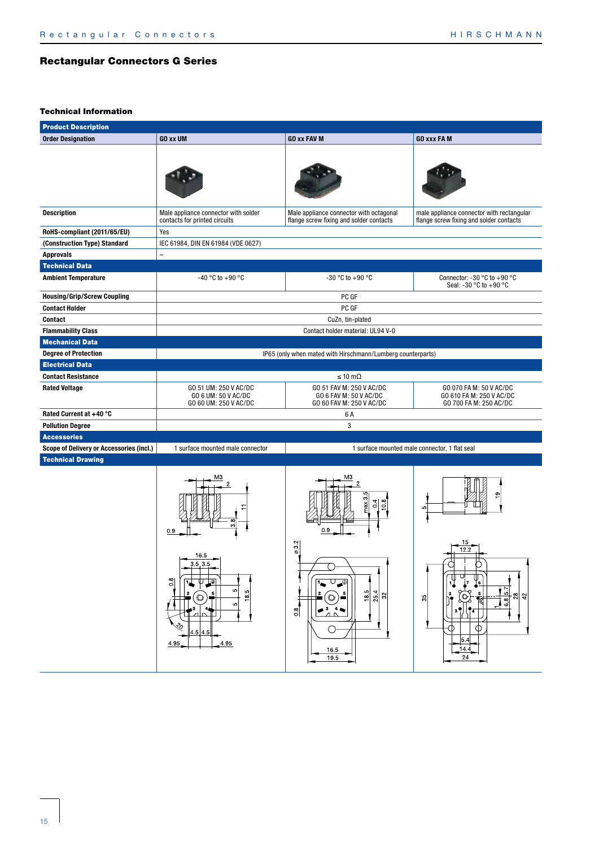| <b>Product Description</b>                      |                                                                                                 |                                                                                                                                                |                                                                                       |  |  |  |  |  |  |
|-------------------------------------------------|-------------------------------------------------------------------------------------------------|------------------------------------------------------------------------------------------------------------------------------------------------|---------------------------------------------------------------------------------------|--|--|--|--|--|--|
| <b>Order Designation</b>                        | <b>GO xx UM</b>                                                                                 | <b>GO xx FAV M</b>                                                                                                                             | <b>GO xxx FA M</b>                                                                    |  |  |  |  |  |  |
|                                                 |                                                                                                 |                                                                                                                                                |                                                                                       |  |  |  |  |  |  |
| <b>Description</b>                              | Male appliance connector with solder<br>contacts for printed circuits                           | Male appliance connector with octagonal<br>flange screw fixing and solder contacts                                                             | male appliance connector with rectangular<br>flange screw fixing and solder contacts  |  |  |  |  |  |  |
| RoHS-compliant (2011/65/EU)                     | Yes                                                                                             |                                                                                                                                                |                                                                                       |  |  |  |  |  |  |
| (Construction Type) Standard                    | IEC 61984, DIN EN 61984 (VDE 0627)                                                              |                                                                                                                                                |                                                                                       |  |  |  |  |  |  |
| <b>Approvals</b>                                |                                                                                                 |                                                                                                                                                |                                                                                       |  |  |  |  |  |  |
| <b>Technical Data</b>                           |                                                                                                 |                                                                                                                                                |                                                                                       |  |  |  |  |  |  |
| <b>Ambient Temperature</b>                      | -40 °C to +90 °C                                                                                | $-30$ °C to $+90$ °C                                                                                                                           | Connector: -30 $^{\circ}$ C to +90 $^{\circ}$ C<br>Seal: -30 °C to +90 °C             |  |  |  |  |  |  |
| <b>Housing/Grip/Screw Coupling</b>              |                                                                                                 | PC GF                                                                                                                                          |                                                                                       |  |  |  |  |  |  |
| <b>Contact Holder</b>                           |                                                                                                 | PC GF                                                                                                                                          |                                                                                       |  |  |  |  |  |  |
| <b>Contact</b>                                  |                                                                                                 | CuZn, tin-plated                                                                                                                               |                                                                                       |  |  |  |  |  |  |
| <b>Flammability Class</b>                       |                                                                                                 | Contact holder material: UL94 V-0                                                                                                              |                                                                                       |  |  |  |  |  |  |
| <b>Mechanical Data</b>                          |                                                                                                 |                                                                                                                                                |                                                                                       |  |  |  |  |  |  |
| <b>Degree of Protection</b>                     |                                                                                                 | IP65 (only when mated with Hirschmann/Lumberg counterparts)                                                                                    |                                                                                       |  |  |  |  |  |  |
| <b>Electrical Data</b>                          |                                                                                                 |                                                                                                                                                |                                                                                       |  |  |  |  |  |  |
| <b>Contact Resistance</b>                       |                                                                                                 | $\leq 10 \text{ m}\Omega$                                                                                                                      |                                                                                       |  |  |  |  |  |  |
| <b>Rated Voltage</b>                            | GO 51 UM: 250 V AC/DC<br>GO 6 UM: 50 V AC/DC<br>GO 60 UM: 250 V AC/DC                           | GO 51 FAV M: 250 V AC/DC<br>GO 6 FAV M: 50 V AC/DC<br>GO 60 FAV M: 250 V AC/DC                                                                 | GO 070 FA M: 50 V AC/DC<br>GO 610 FA M: 250 V AC/DC<br>GO 700 FA M: 250 AC/DC         |  |  |  |  |  |  |
| Rated Current at +40 °C                         |                                                                                                 | 6 A                                                                                                                                            |                                                                                       |  |  |  |  |  |  |
| <b>Pollution Degree</b>                         |                                                                                                 | 3                                                                                                                                              |                                                                                       |  |  |  |  |  |  |
| <b>Accessories</b>                              |                                                                                                 |                                                                                                                                                |                                                                                       |  |  |  |  |  |  |
| <b>Scope of Delivery or Accessories (incl.)</b> | 1 surface mounted male connector                                                                |                                                                                                                                                | 1 surface mounted male connector, 1 flat seal                                         |  |  |  |  |  |  |
| <b>Technical Drawing</b>                        |                                                                                                 |                                                                                                                                                |                                                                                       |  |  |  |  |  |  |
|                                                 | 0.9<br>16.5<br>3.5<br>3.5 <sub>1</sub>                                                          | max 3.<br>$\frac{8}{2}$<br>$\overline{0.4}$<br>0.9<br>$\frac{3.2}{ }$                                                                          | 5                                                                                     |  |  |  |  |  |  |
|                                                 | $\frac{8}{2}$<br>L⊕<br>Ю<br>ဖာ<br>Æ<br>$\frac{8}{1}$<br>Ò<br>Ю<br>्ठ<br>4.5 4.5<br>4.95<br>4.95 | ∪⊋⊛<br>$\rightarrow$<br>18.5<br>25.4<br>$\frac{5}{2}$<br>32<br>$\circ$<br>з<br>4 <sub>1</sub><br>$\frac{8}{2}$<br>$\mathbb{R}$<br>16.5<br>19.5 | y<br>!6<br>5.7<br>2<br>$\frac{8}{2}$<br>42<br>O<br>35<br>6.8<br>Ф<br>5.4<br>144<br>24 |  |  |  |  |  |  |